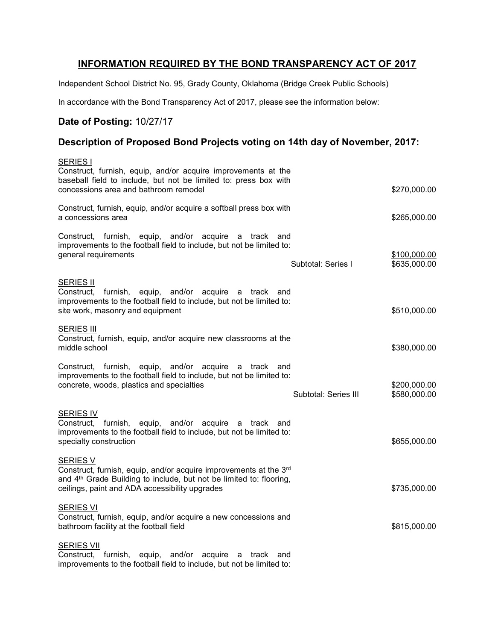## INFORMATION REQUIRED BY THE BOND TRANSPARENCY ACT OF 2017

Independent School District No. 95, Grady County, Oklahoma (Bridge Creek Public Schools)

In accordance with the Bond Transparency Act of 2017, please see the information below:

# Date of Posting: 10/27/17

### Description of Proposed Bond Projects voting on 14th day of November, 2017:

| <b>SERIES I</b><br>Construct, furnish, equip, and/or acquire improvements at the                                                                                                                                          |                              |
|---------------------------------------------------------------------------------------------------------------------------------------------------------------------------------------------------------------------------|------------------------------|
| baseball field to include, but not be limited to: press box with<br>concessions area and bathroom remodel                                                                                                                 | \$270,000.00                 |
| Construct, furnish, equip, and/or acquire a softball press box with<br>a concessions area                                                                                                                                 | \$265,000.00                 |
| Construct, furnish, equip, and/or acquire a track and<br>improvements to the football field to include, but not be limited to:<br>general requirements<br>Subtotal: Series I                                              | \$100,000.00<br>\$635,000.00 |
| <b>SERIES II</b><br>equip, and/or acquire a track and<br>Construct,<br>furnish,<br>improvements to the football field to include, but not be limited to:<br>site work, masonry and equipment                              | \$510,000.00                 |
| <b>SERIES III</b><br>Construct, furnish, equip, and/or acquire new classrooms at the<br>middle school                                                                                                                     | \$380,000.00                 |
| Construct, furnish, equip, and/or acquire<br>a track<br>and<br>improvements to the football field to include, but not be limited to:<br>concrete, woods, plastics and specialties<br>Subtotal: Series III                 | \$200,000.00<br>\$580,000.00 |
| <b>SERIES IV</b><br>Construct, furnish,<br>equip, and/or acquire<br>a track<br>and<br>improvements to the football field to include, but not be limited to:<br>specialty construction                                     | \$655,000.00                 |
| <b>SERIES V</b><br>Construct, furnish, equip, and/or acquire improvements at the 3rd<br>and 4 <sup>th</sup> Grade Building to include, but not be limited to: flooring,<br>ceilings, paint and ADA accessibility upgrades | \$735,000.00                 |
| <b>SERIES VI</b><br>Construct, furnish, equip, and/or acquire a new concessions and<br>bathroom facility at the football field                                                                                            | \$815,000.00                 |
| <b>SERIES VII</b><br>Construct, furnish,<br>equip, and/or acquire<br>a track and<br>improvements to the football field to include, but not be limited to:                                                                 |                              |